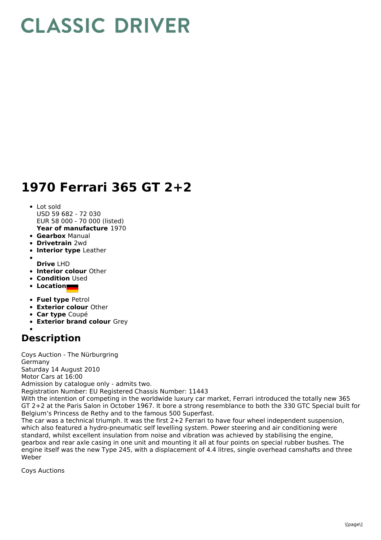## **CLASSIC DRIVER**

## **1970 Ferrari 365 GT 2+2**

- **Year of manufacture** 1970 Lot sold USD 59 682 - 72 030 EUR 58 000 - 70 000 (listed)
- **Gearbox** Manual
- **Drivetrain** 2wd
- **Interior type** Leather
- **Drive** LHD
- **Interior colour** Other
- **Condition** Used
- **Location**
- **Fuel type** Petrol
- **Exterior colour** Other
- **Car type** Coupé
- **Exterior brand colour** Grey

## **Description**

Coys Auction - The Nürburgring Germany Saturday 14 August 2010 Motor Cars at 16:00 Admission by catalogue only - admits two. Registration Number: EU Registered Chassis Number: 11443

With the intention of competing in the worldwide luxury car market, Ferrari introduced the totally new 365 GT 2+2 at the Paris Salon in October 1967. It bore a strong resemblance to both the 330 GTC Special built for Belgium's Princess de Rethy and to the famous 500 Superfast.

The car was a technical triumph. It was the first 2+2 Ferrari to have four wheel independent suspension, which also featured a hydro-pneumatic self levelling system. Power steering and air conditioning were standard, whilst excellent insulation from noise and vibration was achieved by stabilising the engine, gearbox and rear axle casing in one unit and mounting it all at four points on special rubber bushes. The engine itself was the new Type 245, with a displacement of 4.4 litres, single overhead camshafts and three Weber

Coys Auctions